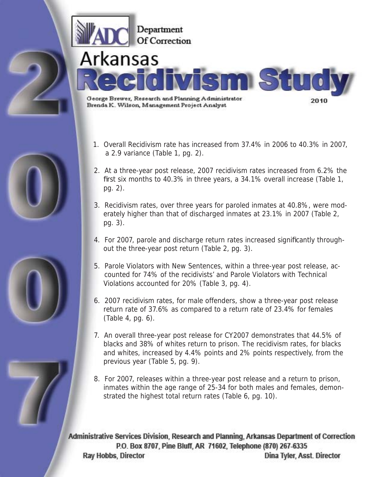

- 1. Overall Recidivism rate has increased from 37.4% in 2006 to 40.3% in 2007, a 2.9 variance (Table 1, pg. 2).
- 2. At a three-year post release, 2007 recidivism rates increased from 6.2% the first six months to 40.3% in three years, a 34.1% overall increase (Table 1, pg. 2).
- 3. Recidivism rates, over three years for paroled inmates at 40.8%, were mod erately higher than that of discharged inmates at 23.1% in 2007 (Table 2, pg. 3).
- 4. For 2007, parole and discharge return rates increased significantly throughout the three-year post return (Table 2, pg. 3).
- 5. Parole Violators with New Sentences, within a three-year post release, ac counted for 74% of the recidivists' and Parole Violators with Technical Violations accounted for 20% (Table 3, pg. 4).
- 6. 2007 recidivism rates, for male offenders, show a three-year post release return rate of 37.6% as compared to a return rate of 23.4% for females (Table 4, pg. 6).
- 7. An overall three-year post release for CY2007 demonstrates that 44.5% of blacks and 38% of whites return to prison. The recidivism rates, for blacks and whites, increased by 4.4% points and 2% points respectively, from the previous year (Table 5, pg. 9).
- 8. For 2007, releases within a three-year post release and a return to prison, inmates within the age range of 25-34 for both males and females, demon strated the highest total return rates (Table 6, pg. 10).

Administrative Services Division, Research and Planning, Arkansas Department of Correction P.O. Box 8707, Pine Bluff, AR 71602, Telephone (870) 267-6335 Dina Tyler, Asst. Director **Ray Hobbs, Director** 



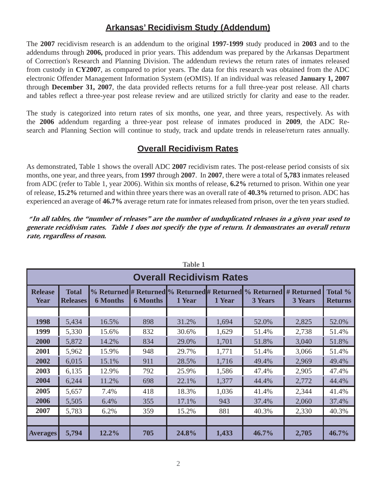### **Arkansas' Recidivism Study (Addendum)**

The **2007** recidivism research is an addendum to the original **1997-1999** study produced in **2003** and to the addendums through **2006,** produced in prior years. This addendum was prepared by the Arkansas Department of Correction's Research and Planning Division. The addendum reviews the return rates of inmates released from custody in **CY2007**, as compared to prior years. The data for this research was obtained from the ADC electronic Offender Management Information System (eOMIS). If an individual was released **January 1, 2007** through **December 31, 2007**, the data provided reflects returns for a full three-year post release. All charts and tables reflect a three-year post release review and are utilized strictly for clarity and ease to the reader.

The study is categorized into return rates of six months, one year, and three years, respectively. As with the **2006** addendum regarding a three-year post release of inmates produced in **2009**, the ADC Research and Planning Section will continue to study, track and update trends in release/return rates annually.

#### **Overall Recidivism Rates**

As demonstrated, Table 1 shows the overall ADC **2007** recidivism rates. The post-release period consists of six months, one year, and three years, from **1997** through **2007**. In **2007**, there were a total of **5,783** inmates released from ADC (refer to Table 1, year 2006). Within six months of release, **6.2%** returned to prison. Within one year of release, **15.2%** returned and within three years there was an overall rate of **40.3%** returned to prison. ADC has experienced an average of **46.7%** average return rate for inmates released from prison, over the ten years studied.

\* **In all tables, the "number of releases" are the number of unduplicated releases in a given year used to generate recidivism rates. Table 1 does not specify the type of return. It demonstrates an overall return rate, regardless of reason.** 

| <b>Overall Recidivism Rates</b> |                                 |                 |                 |        |        |                                                                                     |                |                           |  |  |
|---------------------------------|---------------------------------|-----------------|-----------------|--------|--------|-------------------------------------------------------------------------------------|----------------|---------------------------|--|--|
| <b>Release</b><br><b>Year</b>   | <b>Total</b><br><b>Releases</b> | <b>6 Months</b> | <b>6 Months</b> | 1 Year | 1 Year | % Returned # Returned % Returned # Returned % Returned # Returned<br><b>3 Years</b> | <b>3 Years</b> | Total %<br><b>Returns</b> |  |  |
|                                 |                                 |                 |                 |        |        |                                                                                     |                |                           |  |  |
| 1998                            | 5,434                           | 16.5%           | 898             | 31.2%  | 1,694  | 52.0%                                                                               | 2,825          | 52.0%                     |  |  |
| 1999                            | 5,330                           | 15.6%           | 832             | 30.6%  | 1,629  | 51.4%                                                                               | 2,738          | 51.4%                     |  |  |
| 2000                            | 5,872                           | 14.2%           | 834             | 29.0%  | 1,701  | 51.8%                                                                               | 3,040          | 51.8%                     |  |  |
| 2001                            | 5,962                           | 15.9%           | 948             | 29.7%  | 1,771  | 51.4%                                                                               | 3,066          | 51.4%                     |  |  |
| 2002                            | 6,015                           | 15.1%           | 911             | 28.5%  | 1,716  | 49.4%                                                                               | 2,969          | 49.4%                     |  |  |
| 2003                            | 6,135                           | 12.9%           | 792             | 25.9%  | 1,586  | 47.4%                                                                               | 2,905          | 47.4%                     |  |  |
| 2004                            | 6,244                           | 11.2%           | 698             | 22.1%  | 1,377  | 44.4%                                                                               | 2,772          | 44.4%                     |  |  |
| 2005                            | 5,657                           | 7.4%            | 418             | 18.3%  | 1,036  | 41.4%                                                                               | 2,344          | 41.4%                     |  |  |
| 2006                            | 5,505                           | 6.4%            | 355             | 17.1%  | 943    | 37.4%                                                                               | 2,060          | 37.4%                     |  |  |
| 2007                            | 5,783                           | 6.2%            | 359             | 15.2%  | 881    | 40.3%                                                                               | 2,330          | 40.3%                     |  |  |
|                                 |                                 |                 |                 |        |        |                                                                                     |                |                           |  |  |
| <b>Averages</b>                 | 5,794                           | 12.2%           | 705             | 24.8%  | 1,433  | 46.7%                                                                               | 2,705          | 46.7%                     |  |  |

**Table 1**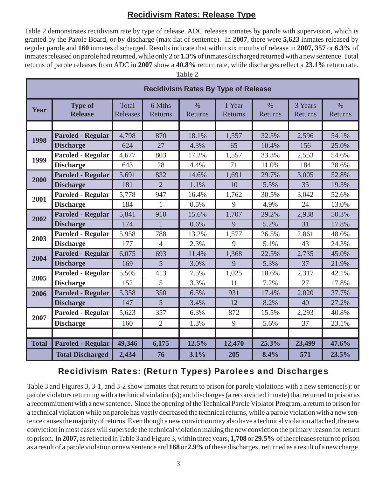### **Recidivism Rates: Release Type**

Table 2 demonstrates recidivism rate by type of release. ADC releases inmates by parole with supervision, which is granted by the Parole Board, or by discharge (max flat of sentence). In 2007, there were 5,623 inmates released by regular parole and **160** inmates discharged. Results indicate that within six months of release in **2007, 357** or **6.3%** of inmates released on parole had returned, while only **2** or **1.3%** of inmates discharged returned with a new sentence. Total returns of parole releases from ADC in 2007 show a 40.8% return rate, while discharges reflect a 23.1% return rate.

**Table 2**

|              | <b>Recidivism Rates By Type of Release</b> |                                 |                   |                        |                   |                                 |                    |                          |  |  |
|--------------|--------------------------------------------|---------------------------------|-------------------|------------------------|-------------------|---------------------------------|--------------------|--------------------------|--|--|
| Year         | <b>Type of</b><br><b>Release</b>           | <b>Total</b><br><b>Releases</b> | 6 Mths<br>Returns | $\%$<br><b>Returns</b> | 1 Year<br>Returns | $\frac{0}{0}$<br><b>Returns</b> | 3 Years<br>Returns | $\frac{0}{0}$<br>Returns |  |  |
|              |                                            |                                 |                   |                        |                   |                                 |                    |                          |  |  |
| 1998         | <b>Paroled - Regular</b>                   | 4,798                           | 870               | 18.1%                  | 1,557             | 32.5%                           | 2,596              | 54.1%                    |  |  |
|              | <b>Discharge</b>                           | 624                             | 27                | 4.3%                   | 65                | 10.4%                           | 156                | 25.0%                    |  |  |
| 1999         | <b>Paroled - Regular</b>                   | 4,677                           | 803               | 17.2%                  | 1,557             | 33.3%                           | 2,553              | 54.6%                    |  |  |
|              | <b>Discharge</b>                           | 643                             | 28                | 4.4%                   | 71                | 11.0%                           | 184                | 28.6%                    |  |  |
| 2000         | <b>Paroled - Regular</b>                   | 5,691                           | 832               | 14.6%                  | 1,691             | 29.7%                           | 3,005              | 52.8%                    |  |  |
|              | <b>Discharge</b>                           | 181                             | $\overline{2}$    | 1.1%                   | 10                | 5.5%                            | 35                 | 19.3%                    |  |  |
| 2001         | <b>Paroled - Regular</b>                   | 5,778                           | 947               | 16.4%                  | 1,762             | 30.5%                           | 3,042              | 52.6%                    |  |  |
|              | <b>Discharge</b>                           | 184                             | $\mathbf{1}$      | 0.5%                   | 9                 | 4.9%                            | 24                 | 13.0%                    |  |  |
| 2002         | <b>Paroled - Regular</b>                   | 5,841                           | 910               | 15.6%                  | 1,707             | 29.2%                           | 2,938              | 50.3%                    |  |  |
|              | <b>Discharge</b>                           | 174                             | 1                 | 0.6%                   | 9                 | 5.2%                            | 31                 | 17.8%                    |  |  |
| 2003         | <b>Paroled - Regular</b>                   | 5,958                           | 788               | 13.2%                  | 1,577             | 26.5%                           | 2,861              | 48.0%                    |  |  |
|              | <b>Discharge</b>                           | 177                             | $\overline{4}$    | 2.3%                   | 9                 | 5.1%                            | 43                 | 24.3%                    |  |  |
| 2004         | <b>Paroled - Regular</b>                   | 6,075                           | 693               | 11.4%                  | 1,368             | 22.5%                           | 2,735              | 45.0%                    |  |  |
|              | <b>Discharge</b>                           | 169                             | $\overline{5}$    | 3.0%                   | 9                 | 5.3%                            | 37                 | 21.9%                    |  |  |
| 2005         | <b>Paroled - Regular</b>                   | 5,505                           | 413               | 7.5%                   | 1,025             | 18.6%                           | 2,317              | 42.1%                    |  |  |
|              | <b>Discharge</b>                           | 152                             | 5                 | 3.3%                   | 11                | 7.2%                            | 27                 | 17.8%                    |  |  |
| 2006         | <b>Paroled - Regular</b>                   | 5,358                           | 350               | 6.5%                   | 931               | 17.4%                           | 2,020              | 37.7%                    |  |  |
|              | <b>Discharge</b>                           | 147                             | 5                 | 3.4%                   | 12                | 8.2%                            | 40                 | 27.2%                    |  |  |
| 2007         | <b>Paroled - Regular</b>                   | 5,623                           | 357               | 6.3%                   | 872               | 15.5%                           | 2,293              | 40.8%                    |  |  |
|              | <b>Discharge</b>                           | 160                             | $\overline{2}$    | 1.3%                   | 9                 | 5.6%                            | 37                 | 23.1%                    |  |  |
|              |                                            |                                 |                   |                        |                   |                                 |                    |                          |  |  |
| <b>Total</b> | <b>Paroled - Regular</b>                   | 49,346                          | 6,175             | 12.5%                  | 12,470            | 25.3%                           | 23,499             | 47.6%                    |  |  |
|              | <b>Total Discharged</b>                    | 2,434                           | 76                | 3.1%                   | 205               | 8.4%                            | 571                | 23.5%                    |  |  |

## Recidivism Rates: (Return Types) Parolees and Discharges

Table 3 and Figures 3, 3-1, and 3-2 show inmates that return to prison for parole violations with a new sentence(s); or parole violators returning with a technical violation(s); and discharges (a reconvicted inmate) that returned to prison as a recommitment with a new sentence. Since the opening of the Technical Parole Violator Program, a return to prison for a technical violation while on parole has vastly decreased the technical returns, while a parole violation with a new sentence causes the majority of returns. Even though a new conviction may also have a technical violation attached, the new conviction in most cases will supersede the technical violation making the new conviction the primary reason for return to prison. In 2007, as reflected in Table 3 and Figure 3, within three years, 1,708 or 29.5% of the releases return to prison as a result of a parole violation or new sentence and **168** or **2.9%** of these discharges , returned as a result of a new charge.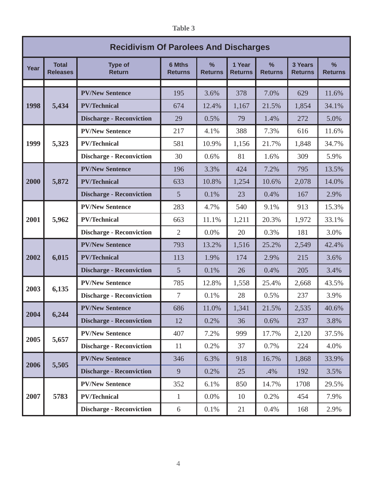| <b>Table 3</b> |
|----------------|
|                |

|      | <b>Recidivism Of Parolees And Discharges</b> |                                 |                                 |                     |                          |                                 |                           |                     |  |  |
|------|----------------------------------------------|---------------------------------|---------------------------------|---------------------|--------------------------|---------------------------------|---------------------------|---------------------|--|--|
| Year | <b>Total</b><br><b>Releases</b>              | <b>Type of</b><br><b>Return</b> | <b>6 Mths</b><br><b>Returns</b> | %<br><b>Returns</b> | 1 Year<br><b>Returns</b> | $\frac{0}{0}$<br><b>Returns</b> | 3 Years<br><b>Returns</b> | %<br><b>Returns</b> |  |  |
|      |                                              |                                 |                                 |                     |                          |                                 |                           |                     |  |  |
|      |                                              | <b>PV/New Sentence</b>          | 195                             | 3.6%                | 378                      | 7.0%                            | 629                       | 11.6%               |  |  |
| 1998 | 5,434                                        | <b>PV/Technical</b>             | 674                             | 12.4%               | 1,167                    | 21.5%                           | 1,854                     | 34.1%               |  |  |
|      |                                              | <b>Discharge - Reconviction</b> | 29                              | 0.5%                | 79                       | 1.4%                            | 272                       | 5.0%                |  |  |
|      |                                              | <b>PV/New Sentence</b>          | 217                             | 4.1%                | 388                      | 7.3%                            | 616                       | 11.6%               |  |  |
| 1999 | 5,323                                        | <b>PV/Technical</b>             | 581                             | 10.9%               | 1,156                    | 21.7%                           | 1,848                     | 34.7%               |  |  |
|      |                                              | <b>Discharge - Reconviction</b> | 30                              | 0.6%                | 81                       | 1.6%                            | 309                       | 5.9%                |  |  |
|      |                                              | <b>PV/New Sentence</b>          | 196                             | 3.3%                | 424                      | 7.2%                            | 795                       | 13.5%               |  |  |
| 2000 | 5,872                                        | <b>PV/Technical</b>             | 633                             | 10.8%               | 1,254                    | 10.6%                           | 2,078                     | 14.0%               |  |  |
|      |                                              | <b>Discharge - Reconviction</b> | 5                               | 0.1%                | 23                       | 0.4%                            | 167                       | 2.9%                |  |  |
|      |                                              | <b>PV/New Sentence</b>          | 283                             | 4.7%                | 540                      | 9.1%                            | 913                       | 15.3%               |  |  |
| 2001 | 5,962                                        | <b>PV/Technical</b>             | 663                             | 11.1%               | 1,211                    | 20.3%                           | 1,972                     | 33.1%               |  |  |
|      |                                              | <b>Discharge - Reconviction</b> | $\overline{2}$                  | 0.0%                | 20                       | 0.3%                            | 181                       | 3.0%                |  |  |
|      |                                              | <b>PV/New Sentence</b>          | 793                             | 13.2%               | 1,516                    | 25.2%                           | 2,549                     | 42.4%               |  |  |
| 2002 | 6,015                                        | <b>PV/Technical</b>             | 113                             | 1.9%                | 174                      | 2.9%                            | 215                       | 3.6%                |  |  |
|      |                                              | <b>Discharge - Reconviction</b> | 5                               | 0.1%                | 26                       | 0.4%                            | 205                       | 3.4%                |  |  |
|      |                                              | <b>PV/New Sentence</b>          | 785                             | 12.8%               | 1,558                    | 25.4%                           | 2,668                     | 43.5%               |  |  |
| 2003 | 6,135                                        | <b>Discharge - Reconviction</b> | 7                               | 0.1%                | 28                       | 0.5%                            | 237                       | 3.9%                |  |  |
|      |                                              | <b>PV/New Sentence</b>          | 686                             | 11.0%               | 1,341                    | 21.5%                           | 2,535                     | 40.6%               |  |  |
| 2004 | 6,244                                        | <b>Discharge - Reconviction</b> | 12                              | 0.2%                | 36                       | 0.6%                            | 237                       | 3.8%                |  |  |
|      |                                              | <b>PV/New Sentence</b>          | 407                             | 7.2%                | 999                      | 17.7%                           | 2,120                     | 37.5%               |  |  |
| 2005 | 5,657                                        | <b>Discharge - Reconviction</b> | 11                              | 0.2%                | 37                       | 0.7%                            | 224                       | 4.0%                |  |  |
|      |                                              | <b>PV/New Sentence</b>          | 346                             | 6.3%                | 918                      | 16.7%                           | 1,868                     | 33.9%               |  |  |
| 2006 | 5,505                                        | <b>Discharge - Reconviction</b> | 9                               | 0.2%                | 25                       | .4%                             | 192                       | 3.5%                |  |  |
|      |                                              | <b>PV/New Sentence</b>          | 352                             | 6.1%                | 850                      | 14.7%                           | 1708                      | 29.5%               |  |  |
| 2007 | 5783                                         | <b>PV/Technical</b>             | $\mathbf{1}$                    | $0.0\%$             | 10                       | 0.2%                            | 454                       | 7.9%                |  |  |
|      |                                              | <b>Discharge - Reconviction</b> | 6                               | 0.1%                | 21                       | 0.4%                            | 168                       | 2.9%                |  |  |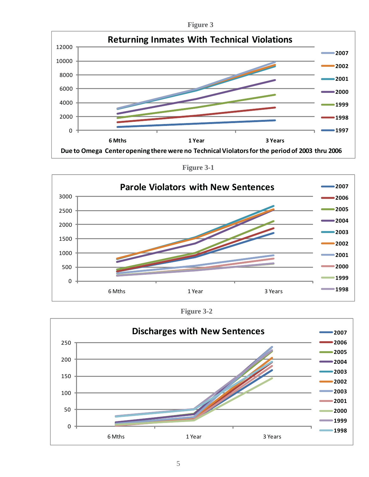**Figure 3**



**Figure 3-1**



**Figure 3-2**

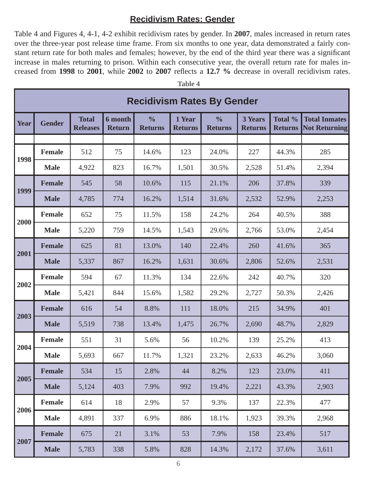#### **Recidivism Rates: Gender**

Table 4 and Figures 4, 4-1, 4-2 exhibit recidivism rates by gender. In **2007**, males increased in return rates over the three-year post release time frame. From six months to one year, data demonstrated a fairly constant return rate for both males and females; however, by the end of the third year there was a significant increase in males returning to prison. Within each consecutive year, the overall return rate for males increased from 1998 to 2001, while 2002 to 2007 reflects a 12.7 % decrease in overall recidivism rates.

|             | <b>Table 4</b>                    |                                 |                                 |                                 |                          |                                 |                                  |                           |                                              |  |
|-------------|-----------------------------------|---------------------------------|---------------------------------|---------------------------------|--------------------------|---------------------------------|----------------------------------|---------------------------|----------------------------------------------|--|
|             | <b>Recidivism Rates By Gender</b> |                                 |                                 |                                 |                          |                                 |                                  |                           |                                              |  |
| <b>Year</b> | <b>Gender</b>                     | <b>Total</b><br><b>Releases</b> | <b>6</b> month<br><b>Return</b> | $\frac{0}{0}$<br><b>Returns</b> | 1 Year<br><b>Returns</b> | $\frac{0}{0}$<br><b>Returns</b> | <b>3 Years</b><br><b>Returns</b> | Total %<br><b>Returns</b> | <b>Total Inmates</b><br><b>Not Returning</b> |  |
|             |                                   |                                 |                                 |                                 |                          |                                 |                                  |                           |                                              |  |
| 1998        | <b>Female</b>                     | 512                             | 75                              | 14.6%                           | 123                      | 24.0%                           | 227                              | 44.3%                     | 285                                          |  |
|             | <b>Male</b>                       | 4,922                           | 823                             | 16.7%                           | 1,501                    | 30.5%                           | 2,528                            | 51.4%                     | 2,394                                        |  |
| 1999        | <b>Female</b>                     | 545                             | 58                              | 10.6%                           | 115                      | 21.1%                           | 206                              | 37.8%                     | 339                                          |  |
|             | <b>Male</b>                       | 4,785                           | 774                             | 16.2%                           | 1,514                    | 31.6%                           | 2,532                            | 52.9%                     | 2,253                                        |  |
| 2000        | Female                            | 652                             | 75                              | 11.5%                           | 158                      | 24.2%                           | 264                              | 40.5%                     | 388                                          |  |
|             | <b>Male</b>                       | 5,220                           | 759                             | 14.5%                           | 1,543                    | 29.6%                           | 2,766                            | 53.0%                     | 2,454                                        |  |
|             | <b>Female</b>                     | 625                             | 81                              | 13.0%                           | 140                      | 22.4%                           | 260                              | 41.6%                     | 365                                          |  |
| 2001        | <b>Male</b>                       | 5,337                           | 867                             | 16.2%                           | 1,631                    | 30.6%                           | 2,806                            | 52.6%                     | 2,531                                        |  |
| 2002        | <b>Female</b>                     | 594                             | 67                              | 11.3%                           | 134                      | 22.6%                           | 242                              | 40.7%                     | 320                                          |  |
|             | <b>Male</b>                       | 5,421                           | 844                             | 15.6%                           | 1,582                    | 29.2%                           | 2,727                            | 50.3%                     | 2,426                                        |  |
| 2003        | <b>Female</b>                     | 616                             | 54                              | 8.8%                            | 111                      | 18.0%                           | 215                              | 34.9%                     | 401                                          |  |
|             | <b>Male</b>                       | 5,519                           | 738                             | 13.4%                           | 1,475                    | 26.7%                           | 2,690                            | 48.7%                     | 2,829                                        |  |
|             | <b>Female</b>                     | 551                             | 31                              | 5.6%                            | 56                       | 10.2%                           | 139                              | 25.2%                     | 413                                          |  |
| 2004        | <b>Male</b>                       | 5,693                           | 667                             | 11.7%                           | 1,321                    | 23.2%                           | 2,633                            | 46.2%                     | 3,060                                        |  |
|             | <b>Female</b>                     | 534                             | 15                              | 2.8%                            | 44                       | 8.2%                            | 123                              | 23.0%                     | 411                                          |  |
| 2005        | <b>Male</b>                       | 5,124                           | 403                             | 7.9%                            | 992                      | 19.4%                           | 2,221                            | 43.3%                     | 2,903                                        |  |
|             | <b>Female</b>                     | 614                             | 18                              | 2.9%                            | 57                       | 9.3%                            | 137                              | 22.3%                     | 477                                          |  |
| 2006        | <b>Male</b>                       | 4,891                           | 337                             | 6.9%                            | 886                      | 18.1%                           | 1,923                            | 39.3%                     | 2,968                                        |  |
|             | <b>Female</b>                     | 675                             | 21                              | 3.1%                            | 53                       | 7.9%                            | 158                              | 23.4%                     | 517                                          |  |
| 2007        | <b>Male</b>                       | 5,783                           | 338                             | 5.8%                            | 828                      | 14.3%                           | 2,172                            | 37.6%                     | 3,611                                        |  |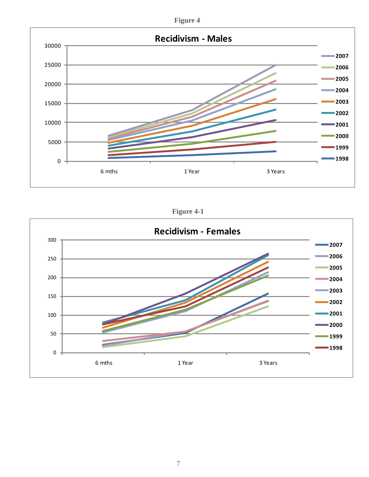



**Figure 4-1**

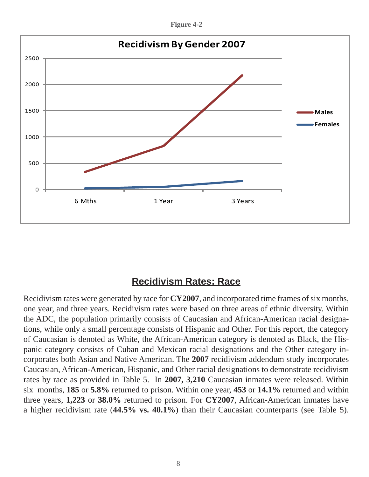**Figure 4-2**



# **Recidivism Rates: Race**

Recidivism rates were generated by race for **CY2007**, and incorporated time frames of six months, one year, and three years. Recidivism rates were based on three areas of ethnic diversity. Within the ADC, the population primarily consists of Caucasian and African-American racial designations, while only a small percentage consists of Hispanic and Other. For this report, the category of Caucasian is denoted as White, the African-American category is denoted as Black, the Hispanic category consists of Cuban and Mexican racial designations and the Other category incorporates both Asian and Native American. The **2007** recidivism addendum study incorporates Caucasian, African-American, Hispanic, and Other racial designations to demonstrate recidivism rates by race as provided in Table 5. In **2007, 3,210** Caucasian inmates were released. Within six months, **185** or **5.8%** returned to prison. Within one year, **453** or **14.1%** returned and within three years, **1,223** or **38.0%** returned to prison. For **CY2007**, African-American inmates have a higher recidivism rate (**44.5% vs. 40.1%**) than their Caucasian counterparts (see Table 5).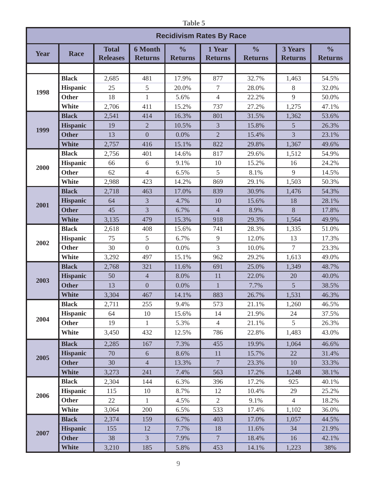| <b>Table 5</b> |                                 |                                 |                                  |                                 |                          |                                 |                                  |                                 |  |  |
|----------------|---------------------------------|---------------------------------|----------------------------------|---------------------------------|--------------------------|---------------------------------|----------------------------------|---------------------------------|--|--|
|                | <b>Recidivism Rates By Race</b> |                                 |                                  |                                 |                          |                                 |                                  |                                 |  |  |
| <b>Year</b>    | <b>Race</b>                     | <b>Total</b><br><b>Releases</b> | <b>6 Month</b><br><b>Returns</b> | $\frac{0}{0}$<br><b>Returns</b> | 1 Year<br><b>Returns</b> | $\frac{0}{0}$<br><b>Returns</b> | <b>3 Years</b><br><b>Returns</b> | $\frac{0}{0}$<br><b>Returns</b> |  |  |
|                |                                 |                                 |                                  |                                 |                          |                                 |                                  |                                 |  |  |
|                | <b>Black</b>                    | 2,685                           | 481                              | 17.9%                           | 877                      | 32.7%                           | 1,463                            | 54.5%                           |  |  |
|                | <b>Hispanic</b>                 | 25                              | 5                                | 20.0%                           | 7                        | 28.0%                           | 8                                | 32.0%                           |  |  |
| 1998           | <b>Other</b>                    | 18                              | $\mathbf{1}$                     | 5.6%                            | $\overline{4}$           | 22.2%                           | 9                                | 50.0%                           |  |  |
|                | <b>White</b>                    | 2,706                           | 411                              | 15.2%                           | 737                      | 27.2%                           | 1,275                            | 47.1%                           |  |  |
|                | <b>Black</b>                    | 2,541                           | 414                              | 16.3%                           | 801                      | 31.5%                           | 1,362                            | 53.6%                           |  |  |
|                | <b>Hispanic</b>                 | 19                              | $\overline{2}$                   | 10.5%                           | $\overline{3}$           | 15.8%                           | 5                                | 26.3%                           |  |  |
| 1999           | <b>Other</b>                    | 13                              | $\overline{0}$                   | 0.0%                            | $\overline{2}$           | 15.4%                           | $\overline{3}$                   | 23.1%                           |  |  |
|                | <b>White</b>                    | 2,757                           | 416                              | 15.1%                           | 822                      | 29.8%                           | 1,367                            | 49.6%                           |  |  |
|                | <b>Black</b>                    | 2,756                           | 401                              | 14.6%                           | 817                      | 29.6%                           | 1,512                            | 54.9%                           |  |  |
| 2000           | <b>Hispanic</b>                 | 66                              | 6                                | 9.1%                            | 10                       | 15.2%                           | 16                               | 24.2%                           |  |  |
|                | <b>Other</b>                    | 62                              | $\overline{4}$                   | 6.5%                            | 5                        | 8.1%                            | 9                                | 14.5%                           |  |  |
|                | <b>White</b>                    | 2,988                           | 423                              | 14.2%                           | 869                      | 29.1%                           | 1,503                            | 50.3%                           |  |  |
|                | <b>Black</b>                    | 2,718                           | 463                              | 17.0%                           | 839                      | 30.9%                           | 1,476                            | 54.3%                           |  |  |
| 2001           | <b>Hispanic</b>                 | 64                              | 3                                | 4.7%                            | 10                       | 15.6%                           | 18                               | 28.1%                           |  |  |
|                | <b>Other</b>                    | 45                              | 3                                | 6.7%                            | $\overline{4}$           | 8.9%                            | 8                                | 17.8%                           |  |  |
|                | <b>White</b>                    | 3,135                           | 479                              | 15.3%                           | 918                      | 29.3%                           | 1,564                            | 49.9%                           |  |  |
|                | <b>Black</b>                    | 2,618                           | 408                              | 15.6%                           | 741                      | 28.3%                           | 1,335                            | 51.0%                           |  |  |
| 2002           | <b>Hispanic</b>                 | 75                              | 5                                | 6.7%                            | $\mathbf{9}$             | 12.0%                           | 13                               | 17.3%                           |  |  |
|                | <b>Other</b>                    | 30                              | $\overline{0}$                   | 0.0%                            | 3                        | 10.0%                           | $7\overline{ }$                  | 23.3%                           |  |  |
|                | <b>White</b>                    | 3,292                           | 497                              | 15.1%                           | 962                      | 29.2%                           | 1,613                            | 49.0%                           |  |  |
|                | <b>Black</b>                    | 2,768                           | 321                              | 11.6%                           | 691                      | 25.0%                           | 1,349                            | 48.7%                           |  |  |
| 2003           | <b>Hispanic</b>                 | 50                              | $\overline{4}$                   | 8.0%                            | 11                       | 22.0%                           | 20                               | 40.0%                           |  |  |
|                | <b>Other</b>                    | 13                              | $\boldsymbol{0}$                 | 0.0%                            | $\,1$                    | 7.7%                            | 5                                | 38.5%                           |  |  |
|                | <b>White</b>                    | 3,304                           | 467                              | 14.1%                           | 883                      | 26.7%                           | 1,531                            | 46.3%                           |  |  |
|                | <b>Black</b>                    | 2,711                           | 255                              | 9.4%                            | 573                      | 21.1%                           | 1,260                            | 46.5%                           |  |  |
| 2004           | <b>Hispanic</b>                 | 64                              | 10                               | 15.6%                           | 14                       | 21.9%                           | 24                               | 37.5%                           |  |  |
|                | <b>Other</b>                    | 19                              | $\mathbf{1}$                     | 5.3%                            | $\overline{4}$           | 21.1%                           | 5 <sup>5</sup>                   | 26.3%                           |  |  |
|                | White                           | 3,450                           | 432                              | 12.5%                           | 786                      | 22.8%                           | 1,483                            | 43.0%                           |  |  |
|                | <b>Black</b>                    | 2,285                           | 167                              | 7.3%                            | 455                      | 19.9%                           | 1,064                            | 46.6%                           |  |  |
| 2005           | <b>Hispanic</b>                 | 70                              | $\sqrt{6}$                       | 8.6%                            | 11                       | 15.7%                           | 22                               | 31.4%                           |  |  |
|                | <b>Other</b>                    | 30                              | $\overline{4}$                   | 13.3%                           | $\overline{7}$           | 23.3%                           | 10                               | 33.3%                           |  |  |
|                | <b>White</b>                    | 3,273                           | 241                              | 7.4%                            | 563                      | 17.2%                           | 1,248                            | 38.1%                           |  |  |
|                | <b>Black</b>                    | 2,304                           | 144                              | 6.3%                            | 396                      | 17.2%                           | 925                              | 40.1%                           |  |  |
| 2006           | <b>Hispanic</b>                 | 115                             | 10                               | 8.7%                            | 12                       | 10.4%                           | 29                               | 25.2%                           |  |  |
|                | <b>Other</b>                    | 22                              | $\mathbf{1}$                     | 4.5%                            | $\overline{2}$           | 9.1%                            | $\overline{4}$                   | 18.2%                           |  |  |
|                | White                           | 3,064                           | 200                              | 6.5%                            | 533                      | 17.4%                           | 1,102                            | 36.0%                           |  |  |
|                | <b>Black</b>                    | 2,374                           | 159                              | 6.7%                            | 403                      | 17.0%                           | 1,057                            | 44.5%                           |  |  |
| 2007           | <b>Hispanic</b>                 | 155                             | 12                               | 7.7%                            | 18                       | 11.6%                           | 34                               | 21.9%                           |  |  |
|                | Other                           | 38                              | $\overline{3}$                   | 7.9%                            | $7\phantom{.0}$          | 18.4%                           | 16                               | 42.1%                           |  |  |
|                | White                           | 3,210                           | 185                              | 5.8%                            | 453                      | 14.1%                           | 1,223                            | 38%                             |  |  |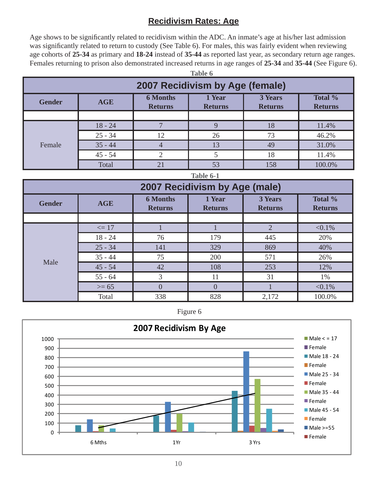### **Recidivism Rates: Age**

Age shows to be significantly related to recidivism within the ADC. An inmate's age at his/her last admission was significantly related to return to custody (See Table 6). For males, this was fairly evident when reviewing age cohorts of **25-34** as primary and **18-24** instead of **35-44** as reported last year, as secondary return age ranges. Females returning to prison also demonstrated increased returns in age ranges of **25-34** and **35-44** (See Figure 6).

| <b>Table 6</b>                  |                                                                                                                                       |    |    |     |        |  |  |  |  |
|---------------------------------|---------------------------------------------------------------------------------------------------------------------------------------|----|----|-----|--------|--|--|--|--|
| 2007 Recidivism by Age (female) |                                                                                                                                       |    |    |     |        |  |  |  |  |
| <b>Gender</b>                   | Total %<br><b>6 Months</b><br>3 Years<br>1 Year<br><b>AGE</b><br><b>Returns</b><br><b>Returns</b><br><b>Returns</b><br><b>Returns</b> |    |    |     |        |  |  |  |  |
|                                 |                                                                                                                                       |    |    |     |        |  |  |  |  |
|                                 | $18 - 24$                                                                                                                             |    |    | 18  | 11.4%  |  |  |  |  |
|                                 | $25 - 34$                                                                                                                             | 12 | 26 | 73  | 46.2%  |  |  |  |  |
| Female                          | $35 - 44$                                                                                                                             |    | 13 | 49  | 31.0%  |  |  |  |  |
|                                 | $45 - 54$                                                                                                                             |    |    | 18  | 11.4%  |  |  |  |  |
|                                 | Total                                                                                                                                 | 21 | 53 | 158 | 100.0% |  |  |  |  |

**Table 6-1**

| 2007 Recidivism by Age (male) |            |                                   |                          |                                  |                           |  |  |  |
|-------------------------------|------------|-----------------------------------|--------------------------|----------------------------------|---------------------------|--|--|--|
| <b>Gender</b>                 | <b>AGE</b> | <b>6 Months</b><br><b>Returns</b> | 1 Year<br><b>Returns</b> | <b>3 Years</b><br><b>Returns</b> | Total %<br><b>Returns</b> |  |  |  |
|                               |            |                                   |                          |                                  |                           |  |  |  |
|                               | $\leq 17$  |                                   |                          | 2                                | $< 0.1\%$                 |  |  |  |
|                               | $18 - 24$  | 76                                | 179                      | 445                              | 20%                       |  |  |  |
|                               | $25 - 34$  | 141                               | 329                      | 869                              | 40%                       |  |  |  |
|                               | $35 - 44$  | 75                                | 200                      | 571                              | 26%                       |  |  |  |
| Male                          | $45 - 54$  | 42                                | 108                      | 253                              | 12%                       |  |  |  |
|                               | $55 - 64$  | 3                                 | 11                       | 31                               | 1%                        |  |  |  |
|                               | $>= 65$    | $\mathbf{O}$                      | $\Omega$                 |                                  | $< 0.1\%$                 |  |  |  |
|                               | Total      | 338                               | 828                      | 2,172                            | 100.0%                    |  |  |  |



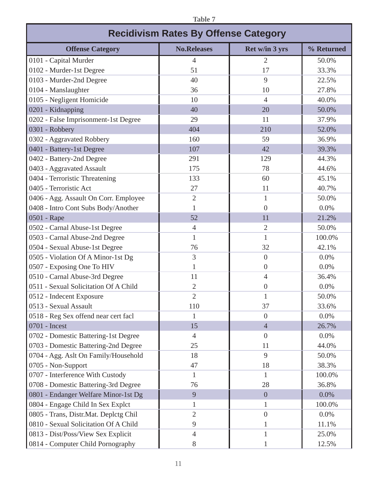| <b>Table 7</b>                              |                    |                |            |  |  |  |  |  |  |
|---------------------------------------------|--------------------|----------------|------------|--|--|--|--|--|--|
| <b>Recidivism Rates By Offense Category</b> |                    |                |            |  |  |  |  |  |  |
| <b>Offense Category</b>                     | <b>No.Releases</b> | Ret w/in 3 yrs | % Returned |  |  |  |  |  |  |
| 0101 - Capital Murder                       | $\overline{4}$     | 2              | 50.0%      |  |  |  |  |  |  |
| 0102 - Murder-1st Degree                    | 51                 | 17             | 33.3%      |  |  |  |  |  |  |
| 0103 - Murder-2nd Degree                    | 40                 | 9              | 22.5%      |  |  |  |  |  |  |
| 0104 - Manslaughter                         | 36                 | 10             | 27.8%      |  |  |  |  |  |  |
| 0105 - Negligent Homicide                   | 10                 | 4              | 40.0%      |  |  |  |  |  |  |
| 0201 - Kidnapping                           | 40                 | 20             | 50.0%      |  |  |  |  |  |  |
| 0202 - False Imprisonment-1st Degree        | 29                 | 11             | 37.9%      |  |  |  |  |  |  |
| 0301 - Robbery                              | 404                | 210            | 52.0%      |  |  |  |  |  |  |
| 0302 - Aggravated Robbery                   | 160                | 59             | 36.9%      |  |  |  |  |  |  |
| 0401 - Battery-1st Degree                   | 107                | 42             | 39.3%      |  |  |  |  |  |  |
| 0402 - Battery-2nd Degree                   | 291                | 129            | 44.3%      |  |  |  |  |  |  |
| 0403 - Aggravated Assault                   | 175                | 78             | 44.6%      |  |  |  |  |  |  |
| 0404 - Terroristic Threatening              | 133                | 60             | 45.1%      |  |  |  |  |  |  |
| 0405 - Terroristic Act                      | 27                 | 11             | 40.7%      |  |  |  |  |  |  |
| 0406 - Agg. Assault On Corr. Employee       | $\overline{2}$     | 1              | 50.0%      |  |  |  |  |  |  |
| 0408 - Intro Cont Subs Body/Another         |                    | $\theta$       | 0.0%       |  |  |  |  |  |  |
| 0501 - Rape                                 | 52                 | 11             | 21.2%      |  |  |  |  |  |  |
| 0502 - Carnal Abuse-1st Degree              | $\overline{4}$     | $\overline{2}$ | 50.0%      |  |  |  |  |  |  |
| 0503 - Carnal Abuse-2nd Degree              | 1                  |                | 100.0%     |  |  |  |  |  |  |
| 0504 - Sexual Abuse-1st Degree              | 76                 | 32             | 42.1%      |  |  |  |  |  |  |
| 0505 - Violation Of A Minor-1st Dg          | 3                  | $\overline{0}$ | 0.0%       |  |  |  |  |  |  |
| 0507 - Exposing One To HIV                  |                    | $\overline{0}$ | 0.0%       |  |  |  |  |  |  |
| 0510 - Carnal Abuse-3rd Degree              | 11                 | 4              | 36.4%      |  |  |  |  |  |  |
| 0511 - Sexual Solicitation Of A Child       | 2                  | $\overline{0}$ | 0.0%       |  |  |  |  |  |  |
| 0512 - Indecent Exposure                    | $\overline{2}$     |                | 50.0%      |  |  |  |  |  |  |
| 0513 - Sexual Assault                       | 110                | 37             | 33.6%      |  |  |  |  |  |  |
| 0518 - Reg Sex offend near cert facl        | 1                  | $\overline{0}$ | 0.0%       |  |  |  |  |  |  |
| 0701 - Incest                               | 15                 | $\overline{4}$ | 26.7%      |  |  |  |  |  |  |
| 0702 - Domestic Battering-1st Degree        | $\overline{4}$     | $\overline{0}$ | 0.0%       |  |  |  |  |  |  |
| 0703 - Domestic Battering-2nd Degree        | 25                 | 11             | 44.0%      |  |  |  |  |  |  |
| 0704 - Agg. Aslt On Family/Household        | 18                 | 9              | 50.0%      |  |  |  |  |  |  |
| 0705 - Non-Support                          | 47                 | 18             | 38.3%      |  |  |  |  |  |  |
| 0707 - Interference With Custody            | $\mathbf{1}$       | 1              | 100.0%     |  |  |  |  |  |  |
| 0708 - Domestic Battering-3rd Degree        | 76                 | 28             | 36.8%      |  |  |  |  |  |  |
| 0801 - Endanger Welfare Minor-1st Dg        | 9                  | $\overline{0}$ | 0.0%       |  |  |  |  |  |  |
| 0804 - Engage Child In Sex Explct           | 1                  | 1              | 100.0%     |  |  |  |  |  |  |
| 0805 - Trans, Distr.Mat. Deplctg Chil       | $\overline{2}$     | $\overline{0}$ | 0.0%       |  |  |  |  |  |  |
| 0810 - Sexual Solicitation Of A Child       | 9                  |                | 11.1%      |  |  |  |  |  |  |
| 0813 - Dist/Poss/View Sex Explicit          | $\overline{4}$     |                | 25.0%      |  |  |  |  |  |  |
| 0814 - Computer Child Pornography           | $8\,$              |                | 12.5%      |  |  |  |  |  |  |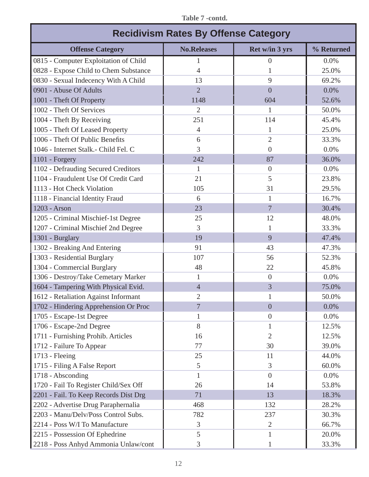| <b>Recidivism Rates By Offense Category</b> |                    |                |            |  |  |  |  |  |
|---------------------------------------------|--------------------|----------------|------------|--|--|--|--|--|
| <b>Offense Category</b>                     | <b>No.Releases</b> | Ret w/in 3 yrs | % Returned |  |  |  |  |  |
| 0815 - Computer Exploitation of Child       | 1                  | $\overline{0}$ | 0.0%       |  |  |  |  |  |
| 0828 - Expose Child to Chem Substance       | 4                  | 1              | 25.0%      |  |  |  |  |  |
| 0830 - Sexual Indecency With A Child        | 13                 | 9              | 69.2%      |  |  |  |  |  |
| 0901 - Abuse Of Adults                      | $\overline{2}$     | $\overline{0}$ | 0.0%       |  |  |  |  |  |
| 1001 - Theft Of Property                    | 1148               | 604            | 52.6%      |  |  |  |  |  |
| 1002 - Theft Of Services                    | $\overline{2}$     | 1              | 50.0%      |  |  |  |  |  |
| 1004 - Theft By Receiving                   | 251                | 114            | 45.4%      |  |  |  |  |  |
| 1005 - Theft Of Leased Property             | 4                  | 1              | 25.0%      |  |  |  |  |  |
| 1006 - Theft Of Public Benefits             | 6                  | $\overline{2}$ | 33.3%      |  |  |  |  |  |
| 1046 - Internet Stalk. - Child Fel. C       | 3                  | $\Omega$       | 0.0%       |  |  |  |  |  |
| 1101 - Forgery                              | 242                | 87             | 36.0%      |  |  |  |  |  |
| 1102 - Defrauding Secured Creditors         | 1                  | $\theta$       | 0.0%       |  |  |  |  |  |
| 1104 - Fraudulent Use Of Credit Card        | 21                 | 5              | 23.8%      |  |  |  |  |  |
| 1113 - Hot Check Violation                  | 105                | 31             | 29.5%      |  |  |  |  |  |
| 1118 - Financial Identity Fraud             | 6                  | 1              | 16.7%      |  |  |  |  |  |
| 1203 - Arson                                | 23                 | $\overline{7}$ | 30.4%      |  |  |  |  |  |
| 1205 - Criminal Mischief-1st Degree         | 25                 | 12             | 48.0%      |  |  |  |  |  |
| 1207 - Criminal Mischief 2nd Degree         | 3                  | 1              | 33.3%      |  |  |  |  |  |
| 1301 - Burglary                             | 19                 | 9              | 47.4%      |  |  |  |  |  |
| 1302 - Breaking And Entering                | 91                 | 43             | 47.3%      |  |  |  |  |  |
| 1303 - Residential Burglary                 | 107                | 56             | 52.3%      |  |  |  |  |  |
| 1304 - Commercial Burglary                  | 48                 | 22             | 45.8%      |  |  |  |  |  |
| 1306 - Destroy/Take Cemetary Marker         | $\mathbf{1}$       | $\overline{0}$ | 0.0%       |  |  |  |  |  |
| 1604 - Tampering With Physical Evid.        | $\overline{4}$     | 3              | 75.0%      |  |  |  |  |  |
| 1612 - Retaliation Against Informant        | 2                  | $\mathbf{1}$   | 50.0%      |  |  |  |  |  |
| 1702 - Hindering Apprehension Or Proc       | 7                  | $\overline{0}$ | 0.0%       |  |  |  |  |  |
| 1705 - Escape-1st Degree                    | 1                  | $\theta$       | 0.0%       |  |  |  |  |  |
| 1706 - Escape-2nd Degree                    | 8                  | 1              | 12.5%      |  |  |  |  |  |
| 1711 - Furnishing Prohib. Articles          | 16                 | $\overline{2}$ | 12.5%      |  |  |  |  |  |
| 1712 - Failure To Appear                    | 77                 | 30             | 39.0%      |  |  |  |  |  |
| 1713 - Fleeing                              | 25                 | 11             | 44.0%      |  |  |  |  |  |
| 1715 - Filing A False Report                | 5                  | 3              | 60.0%      |  |  |  |  |  |
| 1718 - Absconding                           | 1                  | $\overline{0}$ | 0.0%       |  |  |  |  |  |
| 1720 - Fail To Register Child/Sex Off       | 26                 | 14             | 53.8%      |  |  |  |  |  |
| 2201 - Fail. To Keep Records Dist Drg       | 71                 | 13             | 18.3%      |  |  |  |  |  |
| 2202 - Advertise Drug Paraphernalia         | 468                | 132            | 28.2%      |  |  |  |  |  |
| 2203 - Manu/Delv/Poss Control Subs.         | 782                | 237            | 30.3%      |  |  |  |  |  |
| 2214 - Poss W/I To Manufacture              | 3                  | $\overline{2}$ | 66.7%      |  |  |  |  |  |
| 2215 - Possession Of Ephedrine              | 5                  | 1              | 20.0%      |  |  |  |  |  |
| 2218 - Poss Anhyd Ammonia Unlaw/cont        | 3                  |                | 33.3%      |  |  |  |  |  |

#### **Table 7 -contd.**